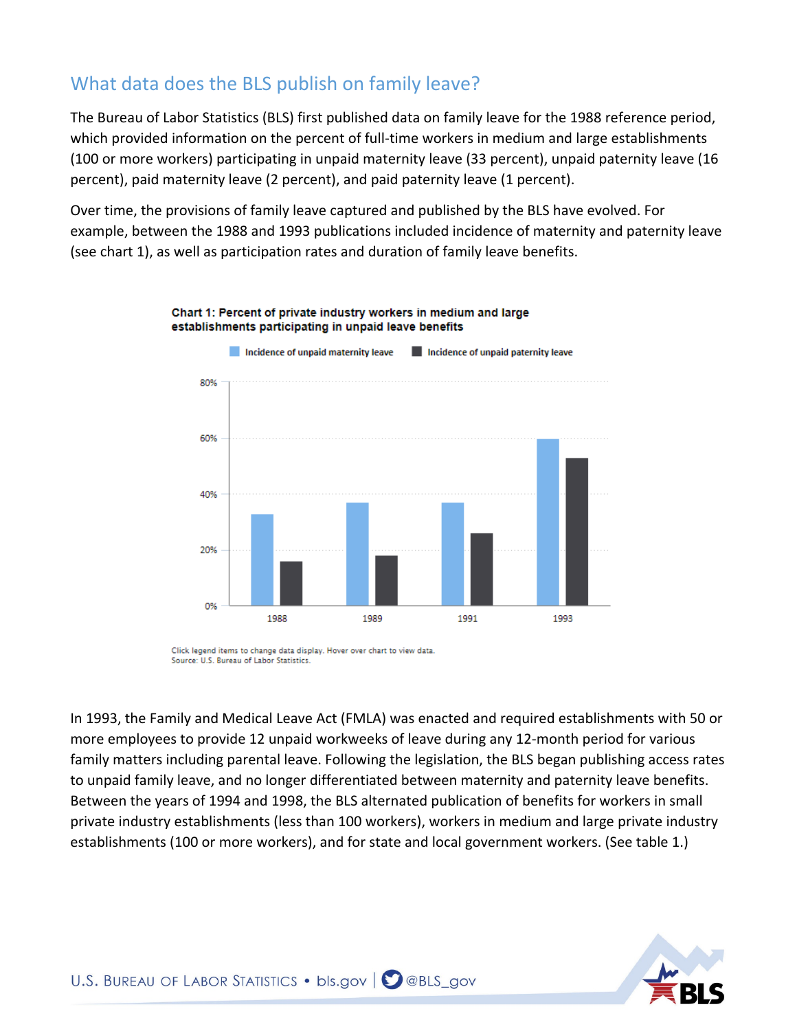# What data does the BLS publish on family leave?

The Bureau of Labor Statistics (BLS) first published data on family leave for the 1988 reference period, which provided information on the percent of full-time workers in medium and large establishments (100 or more workers) participating in unpaid maternity leave (33 percent), unpaid paternity leave (16 percent), paid maternity leave (2 percent), and paid paternity leave (1 percent).

Over time, the provisions of family leave captured and published by the BLS have evolved. For example, between the 1988 and 1993 publications included incidence of maternity and paternity leave (see chart 1), as well as participation rates and duration of family leave benefits.



Chart 1: Percent of private industry workers in medium and large establishments participating in unpaid leave benefits

Click legend items to change data display. Hover over chart to view data. Source: U.S. Bureau of Labor Statistics.

In 1993, the Family and Medical Leave Act (FMLA) was enacted and required establishments with 50 or more employees to provide 12 unpaid workweeks of leave during any 12-month period for various family matters including parental leave. Following the legislation, the BLS began publishing access rates to unpaid family leave, and no longer differentiated between maternity and paternity leave benefits. Between the years of 1994 and 1998, the BLS alternated publication of benefits for workers in small private industry establishments (less than 100 workers), workers in medium and large private industry establishments (100 or more workers), and for state and local government workers. (See table 1.)

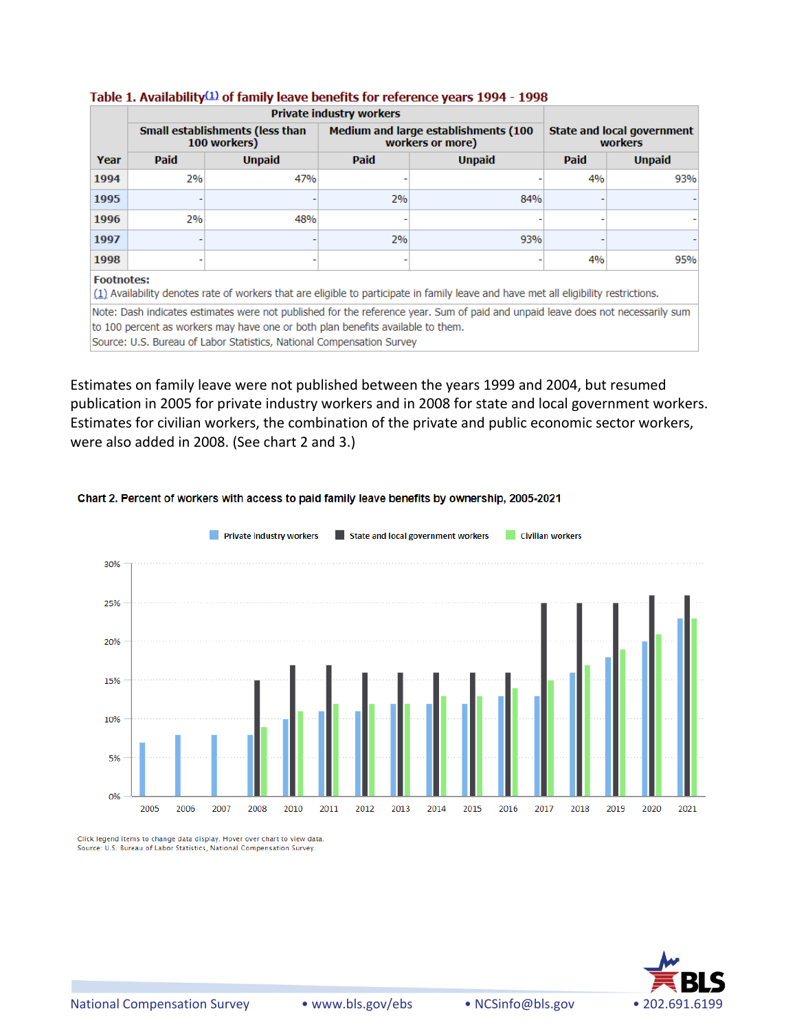|                                                                                                                                                           | <b>Private industry workers</b>                 |               |                                                                 |               |                                              |               |
|-----------------------------------------------------------------------------------------------------------------------------------------------------------|-------------------------------------------------|---------------|-----------------------------------------------------------------|---------------|----------------------------------------------|---------------|
|                                                                                                                                                           | Small establishments (less than<br>100 workers) |               | <b>Medium and large establishments (100</b><br>workers or more) |               | <b>State and local government</b><br>workers |               |
| Year                                                                                                                                                      | <b>Paid</b>                                     | <b>Unpaid</b> | Paid                                                            | <b>Unpaid</b> | Paid                                         | <b>Unpaid</b> |
| 1994                                                                                                                                                      | 2%                                              | 47%           |                                                                 |               | 4%                                           | 93%           |
| 1995                                                                                                                                                      |                                                 |               | 2%                                                              | 84%           |                                              |               |
| 1996                                                                                                                                                      | 2%                                              | 48%           |                                                                 |               |                                              |               |
| 1997                                                                                                                                                      |                                                 |               | 2%                                                              | 93%           |                                              |               |
| 1998                                                                                                                                                      |                                                 |               |                                                                 |               | 4%                                           | 95%           |
| <b>Footnotes:</b><br>(1) Availability denotes rate of workers that are eligible to participate in family leave and have met all eligibility restrictions. |                                                 |               |                                                                 |               |                                              |               |
| Note: Dash indicates estimates were not published for the reference year. Sum of paid and unpaid leave does not necessarily sum                           |                                                 |               |                                                                 |               |                                              |               |
| to 100 percent as workers may have one or both plan benefits available to them.                                                                           |                                                 |               |                                                                 |               |                                              |               |
| Source: U.S. Bureau of Labor Statistics, National Compensation Survey                                                                                     |                                                 |               |                                                                 |               |                                              |               |

### Table 1. Availability $(1)$  of family leave benefits for reference years 1994 - 1998

Estimates on family leave were not published between the years 1999 and 2004, but resumed publication in 2005 for private industry workers and in 2008 for state and local government workers. Estimates for civilian workers, the combination of the private and public economic sector workers, were also added in 2008. (See chart 2 and 3.)

### Chart 2. Percent of workers with access to paid family leave benefits by ownership, 2005-2021



Click legend items to change data display. Hover over chart to view data. Source: U.S. Bureau of Labor Statistics, National Compensation Survey.

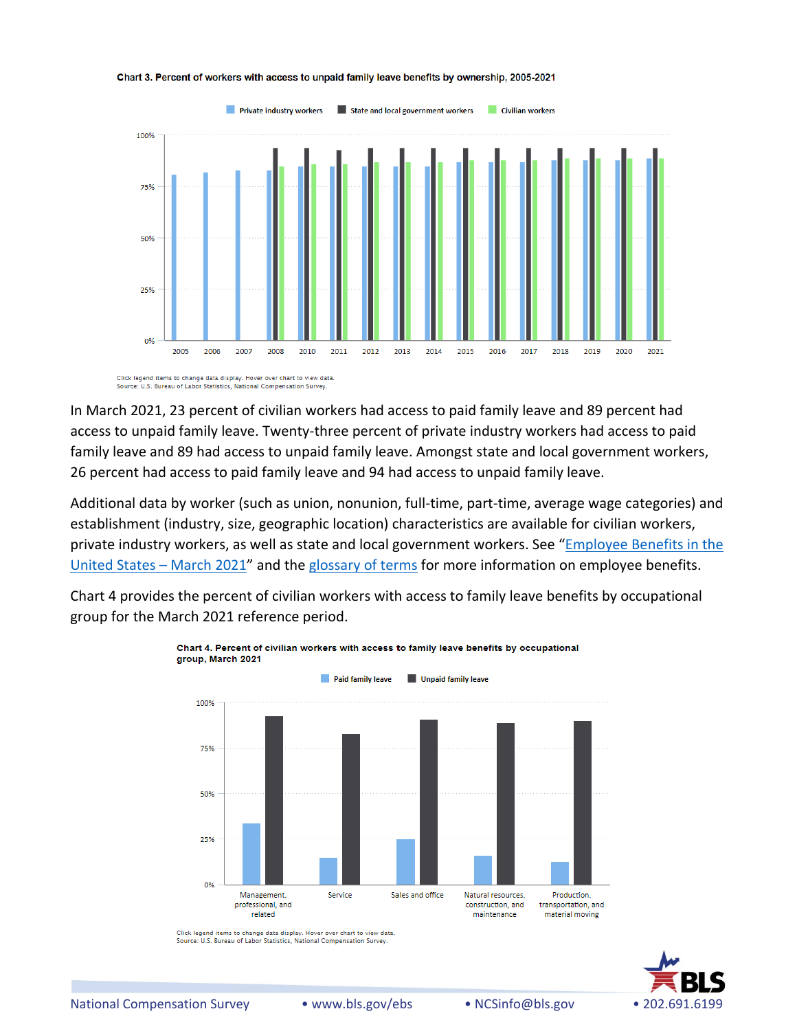

#### Chart 3. Percent of workers with access to unpaid family leave benefits by ownership, 2005-2021

Click legend items to change data display. Hover over chart to view data. Source: U.S. Bureau of Labor Statistics, National Compensation Surver

In March 2021, 23 percent of civilian workers had access to paid family leave and 89 percent had access to unpaid family leave. Twenty-three percent of private industry workers had access to paid family leave and 89 had access to unpaid family leave. Amongst state and local government workers, 26 percent had access to paid family leave and 94 had access to unpaid family leave.

Additional data by worker (such as union, nonunion, full-time, part-time, average wage categories) and establishment (industry, size, geographic location) characteristics are available for civilian workers, private industry workers, as well as state and local government workers. See ["Employee Benefits in the](file://ocwcfile/ncs/ebs/benefits/2021/home.htm)  [United States –](file://ocwcfile/ncs/ebs/benefits/2021/home.htm) March 2021" and the [glossary of terms](file://ocwcfile/ncs/ebs/national-compensation-survey-glossary-of-employee-benefit-terms.htm) for more information on employee benefits.

Chart 4 provides the percent of civilian workers with access to family leave benefits by occupational group for the March 2021 reference period.



Click legend items to change data display. Hover over chart to view data. Source: U.S. Bureau of Labor Statistics, National Compensation Survey